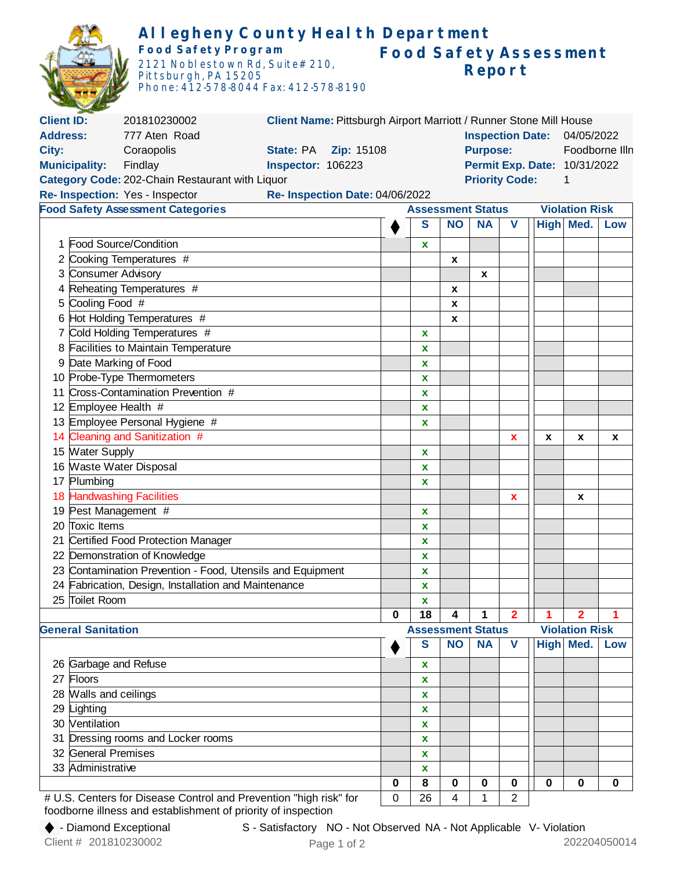|                                                                                   |                                                                | <b>Food Safety Program</b><br>Pittsburgh, PA 15205   | Allegheny County Health Department<br>2121 Noblestown Rd, Suite# 210,<br>Phone: 412-578-8044 Fax: 412-578-8190 |                                       |                          |                                   | Report    |                | <b>Food Safety Assessment</b> |                         |          |  |
|-----------------------------------------------------------------------------------|----------------------------------------------------------------|------------------------------------------------------|----------------------------------------------------------------------------------------------------------------|---------------------------------------|--------------------------|-----------------------------------|-----------|----------------|-------------------------------|-------------------------|----------|--|
| <b>Client ID:</b>                                                                 |                                                                | 201810230002                                         | Client Name: Pittsburgh Airport Marriott / Runner Stone Mill House                                             |                                       |                          |                                   |           |                |                               |                         |          |  |
| <b>Address:</b>                                                                   |                                                                | 777 Aten Road                                        |                                                                                                                | <b>Inspection Date:</b><br>04/05/2022 |                          |                                   |           |                |                               |                         |          |  |
|                                                                                   |                                                                |                                                      |                                                                                                                |                                       |                          | Foodborne IIIn<br><b>Purpose:</b> |           |                |                               |                         |          |  |
| City:<br>Coraopolis<br>Zip: 15108<br><b>State: PA</b><br><b>Inspector: 106223</b> |                                                                |                                                      |                                                                                                                |                                       |                          | Permit Exp. Date: 10/31/2022      |           |                |                               |                         |          |  |
|                                                                                   | <b>Municipality:</b>                                           | Findlay                                              |                                                                                                                |                                       |                          |                                   |           |                |                               |                         |          |  |
| <b>Priority Code:</b><br>Category Code: 202-Chain Restaurant with Liquor<br>1     |                                                                |                                                      |                                                                                                                |                                       |                          |                                   |           |                |                               |                         |          |  |
| Re- Inspection: Yes - Inspector<br>Re- Inspection Date: 04/06/2022                |                                                                |                                                      |                                                                                                                |                                       |                          |                                   |           |                |                               |                         |          |  |
|                                                                                   |                                                                | <b>Food Safety Assessment Categories</b>             | <b>Violation Risk</b><br><b>Assessment Status</b>                                                              |                                       |                          |                                   |           |                |                               |                         |          |  |
|                                                                                   |                                                                |                                                      |                                                                                                                |                                       | S                        | <b>NO</b>                         | <b>NA</b> | V              |                               | High Med.               | Low      |  |
|                                                                                   |                                                                | 1 Food Source/Condition                              |                                                                                                                |                                       |                          |                                   |           |                |                               |                         |          |  |
|                                                                                   |                                                                |                                                      |                                                                                                                |                                       | X                        |                                   |           |                |                               |                         |          |  |
|                                                                                   |                                                                | 2 Cooking Temperatures #                             |                                                                                                                |                                       |                          | X                                 |           |                |                               |                         |          |  |
| 3                                                                                 | Consumer Advisory                                              |                                                      |                                                                                                                |                                       |                          |                                   | X         |                |                               |                         |          |  |
|                                                                                   |                                                                | Reheating Temperatures #                             |                                                                                                                |                                       |                          | $\pmb{\chi}$                      |           |                |                               |                         |          |  |
| 5                                                                                 | Cooling Food #                                                 |                                                      |                                                                                                                |                                       |                          | $\pmb{\mathsf{x}}$                |           |                |                               |                         |          |  |
|                                                                                   |                                                                | 6 Hot Holding Temperatures #                         |                                                                                                                |                                       |                          | X                                 |           |                |                               |                         |          |  |
|                                                                                   |                                                                | Cold Holding Temperatures #                          |                                                                                                                |                                       | X                        |                                   |           |                |                               |                         |          |  |
|                                                                                   |                                                                | 8 Facilities to Maintain Temperature                 |                                                                                                                |                                       | X                        |                                   |           |                |                               |                         |          |  |
| 9                                                                                 | Date Marking of Food                                           |                                                      |                                                                                                                |                                       | $\mathbf x$              |                                   |           |                |                               |                         |          |  |
|                                                                                   |                                                                |                                                      |                                                                                                                |                                       | X                        |                                   |           |                |                               |                         |          |  |
|                                                                                   | 10 Probe-Type Thermometers<br>Cross-Contamination Prevention # |                                                      |                                                                                                                |                                       |                          |                                   |           |                |                               |                         |          |  |
| 11                                                                                |                                                                |                                                      |                                                                                                                |                                       | X                        |                                   |           |                |                               |                         |          |  |
|                                                                                   | 12 Employee Health #                                           |                                                      |                                                                                                                |                                       | X                        |                                   |           |                |                               |                         |          |  |
|                                                                                   | 13 Employee Personal Hygiene #                                 |                                                      |                                                                                                                |                                       | X                        |                                   |           |                |                               |                         |          |  |
|                                                                                   |                                                                | 14 Cleaning and Sanitization #                       |                                                                                                                |                                       |                          |                                   |           | x              | x                             | x                       | x        |  |
|                                                                                   | 15 Water Supply                                                |                                                      |                                                                                                                |                                       | X                        |                                   |           |                |                               |                         |          |  |
|                                                                                   | 16 Waste Water Disposal                                        |                                                      |                                                                                                                |                                       | X                        |                                   |           |                |                               |                         |          |  |
|                                                                                   | 17 Plumbing                                                    |                                                      |                                                                                                                |                                       | $\mathbf x$              |                                   |           |                |                               |                         |          |  |
|                                                                                   |                                                                | 18 Handwashing Facilities                            |                                                                                                                |                                       |                          |                                   |           | x              |                               | x                       |          |  |
|                                                                                   | 19 Pest Management #                                           |                                                      |                                                                                                                |                                       | x                        |                                   |           |                |                               |                         |          |  |
|                                                                                   | 20 Toxic Items                                                 |                                                      |                                                                                                                |                                       | x                        |                                   |           |                |                               |                         |          |  |
| 21                                                                                |                                                                | Certified Food Protection Manager                    |                                                                                                                |                                       | X                        |                                   |           |                |                               |                         |          |  |
| 22                                                                                |                                                                | Demonstration of Knowledge                           |                                                                                                                |                                       |                          |                                   |           |                |                               |                         |          |  |
|                                                                                   |                                                                |                                                      |                                                                                                                |                                       | X                        |                                   |           |                |                               |                         |          |  |
|                                                                                   |                                                                |                                                      | 23 Contamination Prevention - Food, Utensils and Equipment                                                     |                                       | $\mathbf x$              |                                   |           |                |                               |                         |          |  |
|                                                                                   |                                                                | 24 Fabrication, Design, Installation and Maintenance |                                                                                                                |                                       | $\mathbf x$              |                                   |           |                |                               |                         |          |  |
|                                                                                   | 25 Toilet Room                                                 |                                                      |                                                                                                                |                                       | $\mathbf x$              |                                   |           |                |                               |                         |          |  |
|                                                                                   |                                                                |                                                      |                                                                                                                | 0                                     | 18                       | 4                                 | 1         | 2              | 1                             | $\overline{\mathbf{2}}$ |          |  |
|                                                                                   | <b>General Sanitation</b>                                      |                                                      |                                                                                                                |                                       | <b>Assessment Status</b> |                                   |           |                |                               | <b>Violation Risk</b>   |          |  |
|                                                                                   |                                                                |                                                      |                                                                                                                |                                       | S                        | <b>NO</b>                         | <b>NA</b> | $\mathbf v$    |                               | High Med.               | Low      |  |
|                                                                                   | 26 Garbage and Refuse                                          |                                                      |                                                                                                                |                                       |                          |                                   |           |                |                               |                         |          |  |
|                                                                                   | Floors                                                         |                                                      |                                                                                                                |                                       | X                        |                                   |           |                |                               |                         |          |  |
| 27                                                                                |                                                                |                                                      |                                                                                                                |                                       | $\mathbf x$              |                                   |           |                |                               |                         |          |  |
|                                                                                   | 28 Walls and ceilings                                          |                                                      |                                                                                                                |                                       | $\mathbf x$              |                                   |           |                |                               |                         |          |  |
|                                                                                   | 29 Lighting                                                    |                                                      |                                                                                                                |                                       | X                        |                                   |           |                |                               |                         |          |  |
|                                                                                   | 30 Ventilation                                                 |                                                      |                                                                                                                |                                       | X                        |                                   |           |                |                               |                         |          |  |
| 31                                                                                |                                                                | Dressing rooms and Locker rooms                      |                                                                                                                |                                       | $\mathbf x$              |                                   |           |                |                               |                         |          |  |
|                                                                                   | 32 General Premises                                            |                                                      |                                                                                                                |                                       | $\mathbf x$              |                                   |           |                |                               |                         |          |  |
|                                                                                   | 33 Administrative                                              |                                                      |                                                                                                                |                                       | X                        |                                   |           |                |                               |                         |          |  |
|                                                                                   |                                                                |                                                      |                                                                                                                | 0                                     | $\bf 8$                  | $\mathbf 0$                       | 0         | 0              | 0                             | $\mathbf 0$             | $\bf{0}$ |  |
|                                                                                   |                                                                |                                                      | # U.S. Centers for Disease Control and Prevention "high risk" for                                              | 0                                     | 26                       | 4                                 | 1         | $\overline{2}$ |                               |                         |          |  |

foodborne illness and establishment of priority of inspection

Page 1 of 2